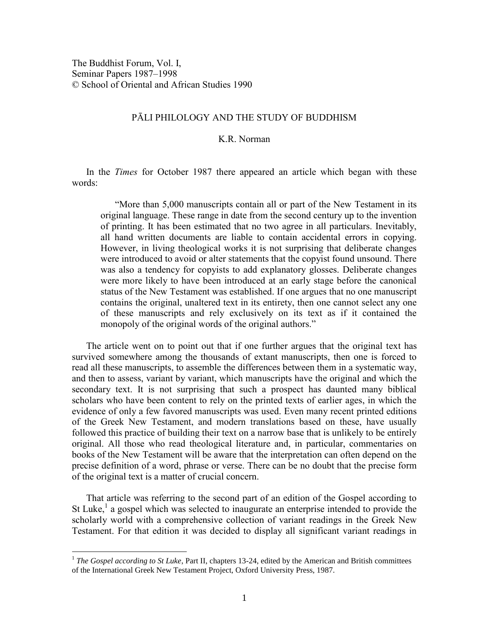The Buddhist Forum, Vol. I, Seminar Papers 1987–1998 © School of Oriental and African Studies 1990

## PĀLI PHILOLOGY AND THE STUDY OF BUDDHISM

## K.R. Norman

In the *Times* for October 1987 there appeared an article which began with these words:

"More than 5,000 manuscripts contain all or part of the New Testament in its original language. These range in date from the second century up to the invention of printing. It has been estimated that no two agree in all particulars. Inevitably, all hand written documents are liable to contain accidental errors in copying. However, in living theological works it is not surprising that deliberate changes were introduced to avoid or alter statements that the copyist found unsound. There was also a tendency for copyists to add explanatory glosses. Deliberate changes were more likely to have been introduced at an early stage before the canonical status of the New Testament was established. If one argues that no one manuscript contains the original, unaltered text in its entirety, then one cannot select any one of these manuscripts and rely exclusively on its text as if it contained the monopoly of the original words of the original authors."

The article went on to point out that if one further argues that the original text has survived somewhere among the thousands of extant manuscripts, then one is forced to read all these manuscripts, to assemble the differences between them in a systematic way, and then to assess, variant by variant, which manuscripts have the original and which the secondary text. It is not surprising that such a prospect has daunted many biblical scholars who have been content to rely on the printed texts of earlier ages, in which the evidence of only a few favored manuscripts was used. Even many recent printed editions of the Greek New Testament, and modern translations based on these, have usually followed this practice of building their text on a narrow base that is unlikely to be entirely original. All those who read theological literature and, in particular, commentaries on books of the New Testament will be aware that the interpretation can often depend on the precise definition of a word, phrase or verse. There can be no doubt that the precise form of the original text is a matter of crucial concern.

That article was referring to the second part of an edition of the Gospel according to St Luke,<sup>1</sup> a gospel which was selected to inaugurate an enterprise intended to provide the scholarly world with a comprehensive collection of variant readings in the Greek New Testament. For that edition it was decided to display all significant variant readings in

<sup>&</sup>lt;sup>1</sup> The Gospel according to St Luke, Part II, chapters 13-24, edited by the American and British committees of the International Greek New Testament Project, Oxford University Press, 1987.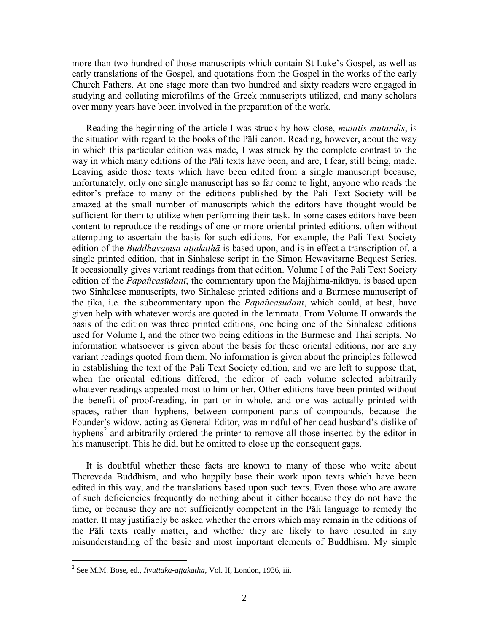more than two hundred of those manuscripts which contain St Luke"s Gospel, as well as early translations of the Gospel, and quotations from the Gospel in the works of the early Church Fathers. At one stage more than two hundred and sixty readers were engaged in studying and collating microfilms of the Greek manuscripts utilized, and many scholars over many years have been involved in the preparation of the work.

Reading the beginning of the article I was struck by how close, *mutatis mutandis*, is the situation with regard to the books of the Pāli canon. Reading, however, about the way in which this particular edition was made, I was struck by the complete contrast to the way in which many editions of the Pāli texts have been, and are, I fear, still being, made. Leaving aside those texts which have been edited from a single manuscript because, unfortunately, only one single manuscript has so far come to light, anyone who reads the editor"s preface to many of the editions published by the Pali Text Society will be amazed at the small number of manuscripts which the editors have thought would be sufficient for them to utilize when performing their task. In some cases editors have been content to reproduce the readings of one or more oriental printed editions, often without attempting to ascertain the basis for such editions. For example, the Pali Text Society edition of the *Buddhavaṃsa-aṭṭakathā* is based upon, and is in effect a transcription of, a single printed edition, that in Sinhalese script in the Simon Hewavitarne Bequest Series. It occasionally gives variant readings from that edition. Volume I of the Pali Text Society edition of the *Papañcasūdanī*, the commentary upon the Majjhima-nikāya, is based upon two Sinhalese manuscripts, two Sinhalese printed editions and a Burmese manuscript of the ṭikā, i.e. the subcommentary upon the *Papañcasūdanī*, which could, at best, have given help with whatever words are quoted in the lemmata. From Volume II onwards the basis of the edition was three printed editions, one being one of the Sinhalese editions used for Volume I, and the other two being editions in the Burmese and Thai scripts. No information whatsoever is given about the basis for these oriental editions, nor are any variant readings quoted from them. No information is given about the principles followed in establishing the text of the Pali Text Society edition, and we are left to suppose that, when the oriental editions differed, the editor of each volume selected arbitrarily whatever readings appealed most to him or her. Other editions have been printed without the benefit of proof-reading, in part or in whole, and one was actually printed with spaces, rather than hyphens, between component parts of compounds, because the Founder"s widow, acting as General Editor, was mindful of her dead husband"s dislike of hyphens<sup>2</sup> and arbitrarily ordered the printer to remove all those inserted by the editor in his manuscript. This he did, but he omitted to close up the consequent gaps.

It is doubtful whether these facts are known to many of those who write about Therevāda Buddhism, and who happily base their work upon texts which have been edited in this way, and the translations based upon such texts. Even those who are aware of such deficiencies frequently do nothing about it either because they do not have the time, or because they are not sufficiently competent in the Pāli language to remedy the matter. It may justifiably be asked whether the errors which may remain in the editions of the Pāli texts really matter, and whether they are likely to have resulted in any misunderstanding of the basic and most important elements of Buddhism. My simple

 2 See M.M. Bose, ed., *Itvuttaka-aṭṭakathā*, Vol. II, London, 1936, iii.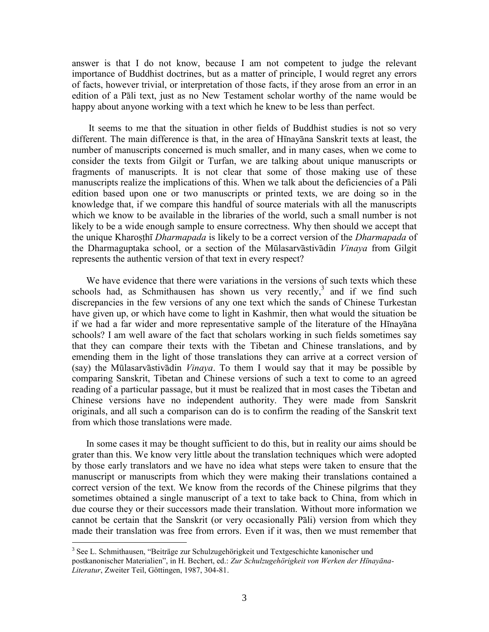answer is that I do not know, because I am not competent to judge the relevant importance of Buddhist doctrines, but as a matter of principle, I would regret any errors of facts, however trivial, or interpretation of those facts, if they arose from an error in an edition of a Pāli text, just as no New Testament scholar worthy of the name would be happy about anyone working with a text which he knew to be less than perfect.

It seems to me that the situation in other fields of Buddhist studies is not so very different. The main difference is that, in the area of Hīnayāna Sanskrit texts at least, the number of manuscripts concerned is much smaller, and in many cases, when we come to consider the texts from Gilgit or Turfan, we are talking about unique manuscripts or fragments of manuscripts. It is not clear that some of those making use of these manuscripts realize the implications of this. When we talk about the deficiencies of a Pāli edition based upon one or two manuscripts or printed texts, we are doing so in the knowledge that, if we compare this handful of source materials with all the manuscripts which we know to be available in the libraries of the world, such a small number is not likely to be a wide enough sample to ensure correctness. Why then should we accept that the unique Kharoṣṭhī *Dharmapada* is likely to be a correct version of the *Dharmapada* of the Dharmaguptaka school, or a section of the Mūlasarvāstivādin *Vinaya* from Gilgit represents the authentic version of that text in every respect?

We have evidence that there were variations in the versions of such texts which these schools had, as Schmithausen has shown us very recently, $3$  and if we find such discrepancies in the few versions of any one text which the sands of Chinese Turkestan have given up, or which have come to light in Kashmir, then what would the situation be if we had a far wider and more representative sample of the literature of the Hīnayāna schools? I am well aware of the fact that scholars working in such fields sometimes say that they can compare their texts with the Tibetan and Chinese translations, and by emending them in the light of those translations they can arrive at a correct version of (say) the Mūlasarvāstivādin *Vinaya*. To them I would say that it may be possible by comparing Sanskrit, Tibetan and Chinese versions of such a text to come to an agreed reading of a particular passage, but it must be realized that in most cases the Tibetan and Chinese versions have no independent authority. They were made from Sanskrit originals, and all such a comparison can do is to confirm the reading of the Sanskrit text from which those translations were made.

In some cases it may be thought sufficient to do this, but in reality our aims should be grater than this. We know very little about the translation techniques which were adopted by those early translators and we have no idea what steps were taken to ensure that the manuscript or manuscripts from which they were making their translations contained a correct version of the text. We know from the records of the Chinese pilgrims that they sometimes obtained a single manuscript of a text to take back to China, from which in due course they or their successors made their translation. Without more information we cannot be certain that the Sanskrit (or very occasionally Pāli) version from which they made their translation was free from errors. Even if it was, then we must remember that

<sup>&</sup>lt;sup>3</sup> See L. Schmithausen, "Beiträge zur Schulzugehörigkeit und Textgeschichte kanonischer und postkanonischer Materialien", in H. Bechert, ed.: *Zur Schulzugehörigkeit von Werken der Hīnayāna-Literatur*, Zweiter Teil, Göttingen, 1987, 304-81.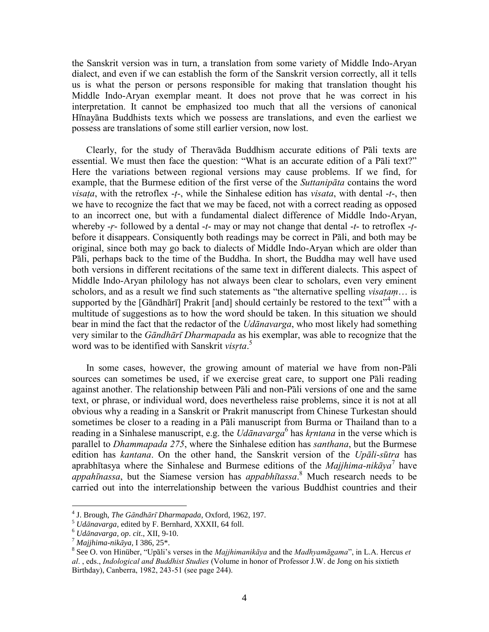the Sanskrit version was in turn, a translation from some variety of Middle Indo-Aryan dialect, and even if we can establish the form of the Sanskrit version correctly, all it tells us is what the person or persons responsible for making that translation thought his Middle Indo-Aryan exemplar meant. It does not prove that he was correct in his interpretation. It cannot be emphasized too much that all the versions of canonical Hīnayāna Buddhists texts which we possess are translations, and even the earliest we possess are translations of some still earlier version, now lost.

Clearly, for the study of Theravāda Buddhism accurate editions of Pāli texts are essential. We must then face the question: "What is an accurate edition of a Pāli text?" Here the variations between regional versions may cause problems. If we find, for example, that the Burmese edition of the first verse of the *Suttanipāta* contains the word *visaṭa*, with the retroflex -*ṭ*-, while the Sinhalese edition has *visata*, with dental -*t*-, then we have to recognize the fact that we may be faced, not with a correct reading as opposed to an incorrect one, but with a fundamental dialect difference of Middle Indo-Aryan, whereby -*ṛ*- followed by a dental -*t*- may or may not change that dental -*t*- to retroflex -*ṭ*before it disappears. Consiquently both readings may be correct in Pāli, and both may be original, since both may go back to dialects of Middle Indo-Aryan which are older than Pāli, perhaps back to the time of the Buddha. In short, the Buddha may well have used both versions in different recitations of the same text in different dialects. This aspect of Middle Indo-Aryan philology has not always been clear to scholars, even very eminent scholors, and as a result we find such statements as "the alternative spelling *visaṭaṃ*… is supported by the [Gāndhārī] Prakrit [and] should certainly be restored to the text<sup>34</sup> with a multitude of suggestions as to how the word should be taken. In this situation we should bear in mind the fact that the redactor of the *Udānavarga*, who most likely had something very similar to the *Gāndhārī Dharmapada* as his exemplar, was able to recognize that the word was to be identified with Sanskrit *visṛta*. 5

In some cases, however, the growing amount of material we have from non-Pāli sources can sometimes be used, if we exercise great care, to support one Pāli reading against another. The relationship between Pāli and non-Pāli versions of one and the same text, or phrase, or individual word, does nevertheless raise problems, since it is not at all obvious why a reading in a Sanskrit or Prakrit manuscript from Chinese Turkestan should sometimes be closer to a reading in a Pāli manuscript from Burma or Thailand than to a reading in a Sinhalese manuscript, e.g. the *Udānavarga*<sup>6</sup> has *krntana* in the verse which is parallel to *Dhammapada 275*, where the Sinhalese edition has *santhana*, but the Burmese edition has *kantana*. On the other hand, the Sanskrit version of the *Upāli*-*sūtra* has aprabhītasya where the Sinhalese and Burmese editions of the *Majjhima-nikāya*<sup>7</sup> have *appahīnassa*, but the Siamese version has *appabhītassa*. <sup>8</sup> Much research needs to be carried out into the interrelationship between the various Buddhist countries and their

<sup>4</sup> J. Brough, *The Gāndhārī Dharmapada*, Oxford, 1962, 197.

<sup>5</sup> *Udānavarga*, edited by F. Bernhard, XXXII, 64 foll.

<sup>6</sup> *Udānavarga*, *op*. *cit*., XII, 9-10.

<sup>7</sup> *Majjhima-nikāya*, I 386, 25\*.

<sup>8</sup> See O. von Hinüber, "Upāli"s verses in the *Majjhimanikāya* and the *Madhyamāgama*", in L.A. Hercus *et al*. , eds., *Indological and Buddhist Studies* (Volume in honor of Professor J.W. de Jong on his sixtieth Birthday), Canberra, 1982, 243-51 (see page 244).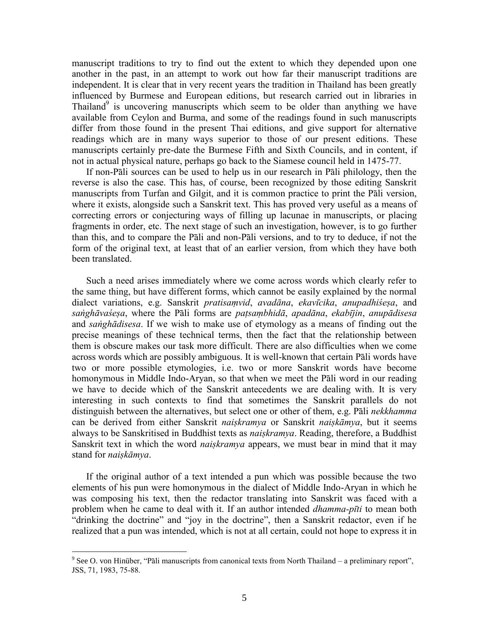manuscript traditions to try to find out the extent to which they depended upon one another in the past, in an attempt to work out how far their manuscript traditions are independent. It is clear that in very recent years the tradition in Thailand has been greatly influenced by Burmese and European editions, but research carried out in libraries in Thailand<sup>9</sup> is uncovering manuscripts which seem to be older than anything we have available from Ceylon and Burma, and some of the readings found in such manuscripts differ from those found in the present Thai editions, and give support for alternative readings which are in many ways superior to those of our present editions. These manuscripts certainly pre-date the Burmese Fifth and Sixth Councils, and in content, if not in actual physical nature, perhaps go back to the Siamese council held in 1475-77.

If non-Pāli sources can be used to help us in our research in Pāli philology, then the reverse is also the case. This has, of course, been recognized by those editing Sanskrit manuscripts from Turfan and Gilgit, and it is common practice to print the Pāli version, where it exists, alongside such a Sanskrit text. This has proved very useful as a means of correcting errors or conjecturing ways of filling up lacunae in manuscripts, or placing fragments in order, etc. The next stage of such an investigation, however, is to go further than this, and to compare the Pāli and non-Pāli versions, and to try to deduce, if not the form of the original text, at least that of an earlier version, from which they have both been translated.

Such a need arises immediately where we come across words which clearly refer to the same thing, but have different forms, which cannot be easily explained by the normal dialect variations, e.g. Sanskrit *pratisaṃvid*, *avadāna*, *ekavīcika*, *anupadhiśeṣa*, and *saṅghāvaśeṣa*, where the Pāli forms are *paṭsaṃbhidā*, *apadāna*, *ekabījin*, *anupādisesa* and *saṅghādisesa*. If we wish to make use of etymology as a means of finding out the precise meanings of these technical terms, then the fact that the relationship between them is obscure makes our task more difficult. There are also difficulties when we come across words which are possibly ambiguous. It is well-known that certain Pāli words have two or more possible etymologies, i.e. two or more Sanskrit words have become homonymous in Middle Indo-Aryan, so that when we meet the Pāli word in our reading we have to decide which of the Sanskrit antecedents we are dealing with. It is very interesting in such contexts to find that sometimes the Sanskrit parallels do not distinguish between the alternatives, but select one or other of them, e.g. Pāli *nekkhamma* can be derived from either Sanskrit *naiṣkramya* or Sanskrit *naiṣkāmya*, but it seems always to be Sanskritised in Buddhist texts as *naiṣkramya*. Reading, therefore, a Buddhist Sanskrit text in which the word *naiskramya* appears, we must bear in mind that it may stand for *naiṣkāmya*.

If the original author of a text intended a pun which was possible because the two elements of his pun were homonymous in the dialect of Middle Indo-Aryan in which he was composing his text, then the redactor translating into Sanskrit was faced with a problem when he came to deal with it. If an author intended *dhamma-pīti* to mean both "drinking the doctrine" and "joy in the doctrine", then a Sanskrit redactor, even if he realized that a pun was intended, which is not at all certain, could not hope to express it in

 $9$  See O. von Hinüber, "Pāli manuscripts from canonical texts from North Thailand – a preliminary report", JSS, 71, 1983, 75-88.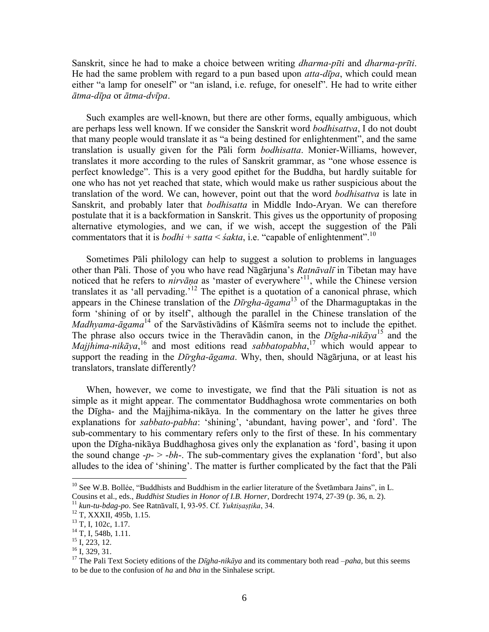Sanskrit, since he had to make a choice between writing *dharma-pīti* and *dharma-prīti*. He had the same problem with regard to a pun based upon *atta-dīpa*, which could mean either "a lamp for oneself" or "an island, i.e. refuge, for oneself". He had to write either *ātma-dīpa* or *ātma-dvīpa*.

Such examples are well-known, but there are other forms, equally ambiguous, which are perhaps less well known. If we consider the Sanskrit word *bodhisattva*, I do not doubt that many people would translate it as "a being destined for enlightenment", and the same translation is usually given for the Pāli form *bodhisatta*. Monier-Williams, however, translates it more according to the rules of Sanskrit grammar, as "one whose essence is perfect knowledge". This is a very good epithet for the Buddha, but hardly suitable for one who has not yet reached that state, which would make us rather suspicious about the translation of the word. We can, however, point out that the word *bodhisattva* is late in Sanskrit, and probably later that *bodhisatta* in Middle Indo-Aryan. We can therefore postulate that it is a backformation in Sanskrit. This gives us the opportunity of proposing alternative etymologies, and we can, if we wish, accept the suggestion of the Pāli commentators that it is  $bodhi + satta \leq sakta$ , i.e. "capable of enlightenment".<sup>10</sup>

Sometimes Pāli philology can help to suggest a solution to problems in languages other than Pāli. Those of you who have read Nāgārjuna"s *Ratnāvalī* in Tibetan may have noticed that he refers to *nirvāṇa* as 'master of everywhere'<sup>11</sup>, while the Chinese version translates it as 'all pervading.<sup>12</sup> The epithet is a quotation of a canonical phrase, which appears in the Chinese translation of the *Dīrgha-āgama*<sup>13</sup> of the Dharmaguptakas in the form "shining of or by itself", although the parallel in the Chinese translation of the *Madhyama-āgama*<sup>14</sup> of the Sarvāstivādins of Kāśmīra seems not to include the epithet. The phrase also occurs twice in the Theravādin canon, in the *Dīgha-nikāya*<sup>15</sup> and the *Majjhima-nikāya*,<sup>16</sup> and most editions read *sabbatopabha*,<sup>17</sup> which would appear to support the reading in the *Dīrgha-āgama*. Why, then, should Nāgārjuna, or at least his translators, translate differently?

When, however, we come to investigate, we find that the Pāli situation is not as simple as it might appear. The commentator Buddhaghosa wrote commentaries on both the Dīgha- and the Majjhima-nikāya. In the commentary on the latter he gives three explanations for *sabbato-pabha*: 'shining', 'abundant, having power', and 'ford'. The sub-commentary to his commentary refers only to the first of these. In his commentary upon the Dīgha-nikāya Buddhaghosa gives only the explanation as "ford", basing it upon the sound change  $-p$ -  $>$   $-bh$ -. The sub-commentary gives the explanation 'ford', but also alludes to the idea of "shining". The matter is further complicated by the fact that the Pāli

<sup>&</sup>lt;sup>10</sup> See W.B. Bollée, "Buddhists and Buddhism in the earlier literature of the Śvetāmbara Jains", in L. Cousins et al., eds., *Buddhist Studies in Honor of I.B. Horner*, Dordrecht 1974, 27-39 (p. 36, n. 2).

<sup>11</sup> *kun-tu-bdag-po*. See Ratnāvalī, I, 93-95. Cf. *Yuktiṣaṣṭika*, 34.

<sup>&</sup>lt;sup>12</sup> T, XXXII, 495b, 1.15.

<sup>&</sup>lt;sup>13</sup> T, I, 102c, 1.17.

<sup>&</sup>lt;sup>14</sup> T, I, 548b, 1.11.

<sup>&</sup>lt;sup>15</sup> I, 223, 12.

 $16$  I, 329, 31.

<sup>17</sup> The Pali Text Society editions of the *Dīgha-nikāya* and its commentary both read –*paha*, but this seems to be due to the confusion of *ha* and *bha* in the Sinhalese script.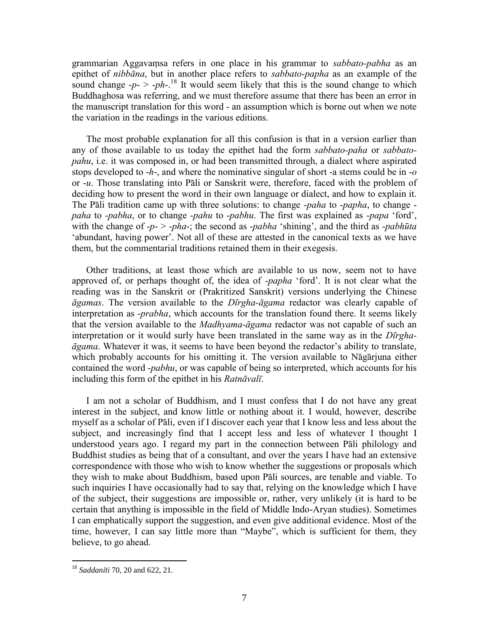grammarian Aggavaṃsa refers in one place in his grammar to *sabbato-pabha* as an epithet of *nibbāna*, but in another place refers to *sabbato-papha* as an example of the sound change  $-p$ -  $>$  -*ph*-.<sup>18</sup> It would seem likely that this is the sound change to which Buddhaghosa was referring, and we must therefore assume that there has been an error in the manuscript translation for this word - an assumption which is borne out when we note the variation in the readings in the various editions.

The most probable explanation for all this confusion is that in a version earlier than any of those available to us today the epithet had the form *sabbato-paha* or *sabbatopahu*, i.e. it was composed in, or had been transmitted through, a dialect where aspirated stops developed to -*h*-, and where the nominative singular of short -a stems could be in -*o* or -*u*. Those translating into Pāli or Sanskrit were, therefore, faced with the problem of deciding how to present the word in their own language or dialect, and how to explain it. The Pāli tradition came up with three solutions: to change -*paha* to -*papha*, to change *paha* to -*pabha*, or to change -*pahu* to -*pabhu*. The first was explained as -*papa* "ford", with the change of -*p*- > -*pha*-; the second as -*pabha* "shining", and the third as -*pabhūta* 'abundant, having power'. Not all of these are attested in the canonical texts as we have them, but the commentarial traditions retained them in their exegesis.

Other traditions, at least those which are available to us now, seem not to have approved of, or perhaps thought of, the idea of -*papha* "ford". It is not clear what the reading was in the Sanskrit or (Prakritized Sanskrit) versions underlying the Chinese *āgamas*. The version available to the *Dīrgha-āgama* redactor was clearly capable of interpretation as -*prabha*, which accounts for the translation found there. It seems likely that the version available to the *Madhyama-āgama* redactor was not capable of such an interpretation or it would surly have been translated in the same way as in the *Dīrghaāgama*. Whatever it was, it seems to have been beyond the redactor"s ability to translate, which probably accounts for his omitting it. The version available to Nāgārjuna either contained the word -*pabhu*, or was capable of being so interpreted, which accounts for his including this form of the epithet in his *Ratnāvalī*.

I am not a scholar of Buddhism, and I must confess that I do not have any great interest in the subject, and know little or nothing about it. I would, however, describe myself as a scholar of Pāli, even if I discover each year that I know less and less about the subject, and increasingly find that I accept less and less of whatever I thought I understood years ago. I regard my part in the connection between Pāli philology and Buddhist studies as being that of a consultant, and over the years I have had an extensive correspondence with those who wish to know whether the suggestions or proposals which they wish to make about Buddhism, based upon Pāli sources, are tenable and viable. To such inquiries I have occasionally had to say that, relying on the knowledge which I have of the subject, their suggestions are impossible or, rather, very unlikely (it is hard to be certain that anything is impossible in the field of Middle Indo-Aryan studies). Sometimes I can emphatically support the suggestion, and even give additional evidence. Most of the time, however, I can say little more than "Maybe", which is sufficient for them, they believe, to go ahead.

<sup>18</sup> *Saddanīti* 70, 20 and 622, 21.